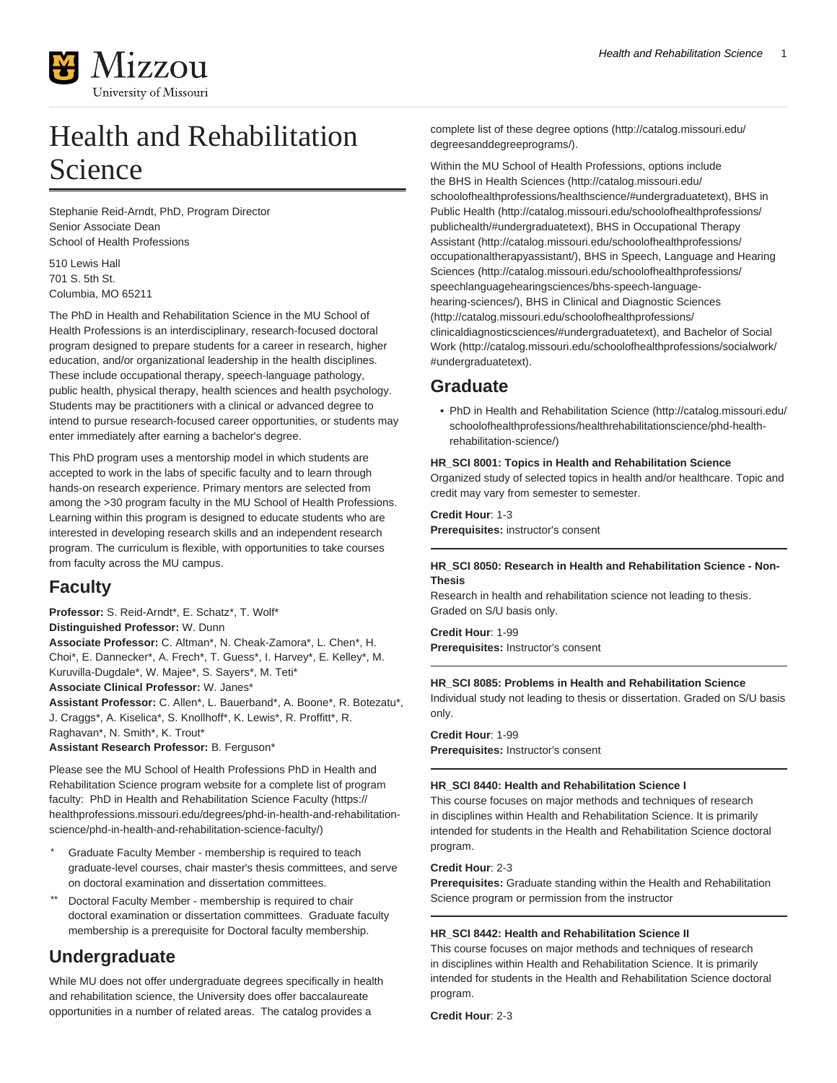

# Health and Rehabilitation Science

Stephanie Reid-Arndt, PhD, Program Director Senior Associate Dean School of Health Professions

510 Lewis Hall 701 S. 5th St. Columbia, MO 65211

The PhD in Health and Rehabilitation Science in the MU School of Health Professions is an interdisciplinary, research-focused doctoral program designed to prepare students for a career in research, higher education, and/or organizational leadership in the health disciplines. These include occupational therapy, speech-language pathology, public health, physical therapy, health sciences and health psychology. Students may be practitioners with a clinical or advanced degree to intend to pursue research-focused career opportunities, or students may enter immediately after earning a bachelor's degree.

This PhD program uses a mentorship model in which students are accepted to work in the labs of specific faculty and to learn through hands-on research experience. Primary mentors are selected from among the >30 program faculty in the MU School of Health Professions. Learning within this program is designed to educate students who are interested in developing research skills and an independent research program. The curriculum is flexible, with opportunities to take courses from faculty across the MU campus.

# **Faculty**

**Professor:** S. Reid-Arndt\*, E. Schatz\*, T. Wolf\* **Distinguished Professor:** W. Dunn **Associate Professor:** C. Altman\*, N. Cheak-Zamora\*, L. Chen\*, H. Choi\*, E. Dannecker\*, A. Frech\*, T. Guess\*, I. Harvey\*, E. Kelley\*, M. Kuruvilla-Dugdale\*, W. Majee\*, S. Sayers\*, M. Teti\* **Associate Clinical Professor:** W. Janes\*

**Assistant Professor:** C. Allen\*, L. Bauerband\*, A. Boone\*, R. Botezatu\*, J. Craggs\*, A. Kiselica\*, S. Knollhoff\*, K. Lewis\*, R. Proffitt\*, R. Raghavan\*, N. Smith\*, K. Trout\*

**Assistant Research Professor:** B. Ferguson\*

Please see the MU School of Health Professions PhD in Health and Rehabilitation Science program website for a complete list of program faculty: [PhD in Health and Rehabilitation Science Faculty](https://healthprofessions.missouri.edu/degrees/phd-in-health-and-rehabilitation-science/phd-in-health-and-rehabilitation-science-faculty/) ([https://](https://healthprofessions.missouri.edu/degrees/phd-in-health-and-rehabilitation-science/phd-in-health-and-rehabilitation-science-faculty/) [healthprofessions.missouri.edu/degrees/phd-in-health-and-rehabilitation](https://healthprofessions.missouri.edu/degrees/phd-in-health-and-rehabilitation-science/phd-in-health-and-rehabilitation-science-faculty/)[science/phd-in-health-and-rehabilitation-science-faculty/\)](https://healthprofessions.missouri.edu/degrees/phd-in-health-and-rehabilitation-science/phd-in-health-and-rehabilitation-science-faculty/)

- Graduate Faculty Member membership is required to teach graduate-level courses, chair master's thesis committees, and serve on doctoral examination and dissertation committees.
- Doctoral Faculty Member membership is required to chair doctoral examination or dissertation committees. Graduate faculty membership is a prerequisite for Doctoral faculty membership.

# **Undergraduate**

While MU does not offer undergraduate degrees specifically in health and rehabilitation science, the University does offer baccalaureate opportunities in a number of related areas. The catalog provides a

[complete list of these degree options](http://catalog.missouri.edu/degreesanddegreeprograms/) [\(http://catalog.missouri.edu/](http://catalog.missouri.edu/degreesanddegreeprograms/) [degreesanddegreeprograms/](http://catalog.missouri.edu/degreesanddegreeprograms/)).

Within the MU School of Health Professions, options include the [BHS in Health Sciences](http://catalog.missouri.edu/schoolofhealthprofessions/healthscience/#undergraduatetext) [\(http://catalog.missouri.edu/](http://catalog.missouri.edu/schoolofhealthprofessions/healthscience/#undergraduatetext) [schoolofhealthprofessions/healthscience/#undergraduatetext](http://catalog.missouri.edu/schoolofhealthprofessions/healthscience/#undergraduatetext)), [BHS in](http://catalog.missouri.edu/schoolofhealthprofessions/publichealth/#undergraduatetext) [Public Health](http://catalog.missouri.edu/schoolofhealthprofessions/publichealth/#undergraduatetext) [\(http://catalog.missouri.edu/schoolofhealthprofessions/](http://catalog.missouri.edu/schoolofhealthprofessions/publichealth/#undergraduatetext) [publichealth/#undergraduatetext](http://catalog.missouri.edu/schoolofhealthprofessions/publichealth/#undergraduatetext)), [BHS in Occupational Therapy](http://catalog.missouri.edu/schoolofhealthprofessions/occupationaltherapyassistant/) [Assistant](http://catalog.missouri.edu/schoolofhealthprofessions/occupationaltherapyassistant/) [\(http://catalog.missouri.edu/schoolofhealthprofessions/](http://catalog.missouri.edu/schoolofhealthprofessions/occupationaltherapyassistant/) [occupationaltherapyassistant/](http://catalog.missouri.edu/schoolofhealthprofessions/occupationaltherapyassistant/)), [BHS in Speech, Language and Hearing](http://catalog.missouri.edu/schoolofhealthprofessions/speechlanguagehearingsciences/bhs-speech-language-hearing-sciences/) [Sciences](http://catalog.missouri.edu/schoolofhealthprofessions/speechlanguagehearingsciences/bhs-speech-language-hearing-sciences/) [\(http://catalog.missouri.edu/schoolofhealthprofessions/](http://catalog.missouri.edu/schoolofhealthprofessions/speechlanguagehearingsciences/bhs-speech-language-hearing-sciences/) [speechlanguagehearingsciences/bhs-speech-language](http://catalog.missouri.edu/schoolofhealthprofessions/speechlanguagehearingsciences/bhs-speech-language-hearing-sciences/)[hearing-sciences/\)](http://catalog.missouri.edu/schoolofhealthprofessions/speechlanguagehearingsciences/bhs-speech-language-hearing-sciences/), [BHS in Clinical and Diagnostic Sciences](http://catalog.missouri.edu/schoolofhealthprofessions/clinicaldiagnosticsciences/#undergraduatetext) ([http://catalog.missouri.edu/schoolofhealthprofessions/](http://catalog.missouri.edu/schoolofhealthprofessions/clinicaldiagnosticsciences/#undergraduatetext) [clinicaldiagnosticsciences/#undergraduatetext\)](http://catalog.missouri.edu/schoolofhealthprofessions/clinicaldiagnosticsciences/#undergraduatetext), and [Bachelor of Social](http://catalog.missouri.edu/schoolofhealthprofessions/socialwork/#undergraduatetext) [Work](http://catalog.missouri.edu/schoolofhealthprofessions/socialwork/#undergraduatetext) ([http://catalog.missouri.edu/schoolofhealthprofessions/socialwork/](http://catalog.missouri.edu/schoolofhealthprofessions/socialwork/#undergraduatetext) [#undergraduatetext](http://catalog.missouri.edu/schoolofhealthprofessions/socialwork/#undergraduatetext)).

# **Graduate**

• [PhD in Health and Rehabilitation Science](http://catalog.missouri.edu/schoolofhealthprofessions/healthrehabilitationscience/phd-health-rehabilitation-science/) [\(http://catalog.missouri.edu/](http://catalog.missouri.edu/schoolofhealthprofessions/healthrehabilitationscience/phd-health-rehabilitation-science/) [schoolofhealthprofessions/healthrehabilitationscience/phd-health](http://catalog.missouri.edu/schoolofhealthprofessions/healthrehabilitationscience/phd-health-rehabilitation-science/)[rehabilitation-science/](http://catalog.missouri.edu/schoolofhealthprofessions/healthrehabilitationscience/phd-health-rehabilitation-science/))

### **HR\_SCI 8001: Topics in Health and Rehabilitation Science**

Organized study of selected topics in health and/or healthcare. Topic and credit may vary from semester to semester.

**Credit Hour**: 1-3

**Prerequisites:** instructor's consent

### **HR\_SCI 8050: Research in Health and Rehabilitation Science - Non-Thesis**

Research in health and rehabilitation science not leading to thesis. Graded on S/U basis only.

**Credit Hour**: 1-99 **Prerequisites:** Instructor's consent

# **HR\_SCI 8085: Problems in Health and Rehabilitation Science**

Individual study not leading to thesis or dissertation. Graded on S/U basis only.

**Credit Hour**: 1-99 **Prerequisites:** Instructor's consent

#### **HR\_SCI 8440: Health and Rehabilitation Science I**

This course focuses on major methods and techniques of research in disciplines within Health and Rehabilitation Science. It is primarily intended for students in the Health and Rehabilitation Science doctoral program.

#### **Credit Hour**: 2-3

**Prerequisites:** Graduate standing within the Health and Rehabilitation Science program or permission from the instructor

# **HR\_SCI 8442: Health and Rehabilitation Science II**

This course focuses on major methods and techniques of research in disciplines within Health and Rehabilitation Science. It is primarily intended for students in the Health and Rehabilitation Science doctoral program.

**Credit Hour**: 2-3